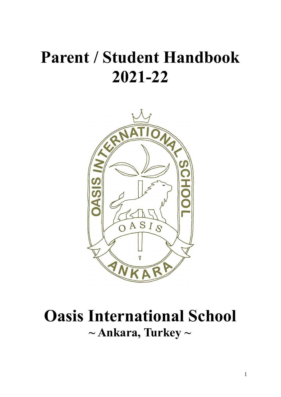# **Parent / Student Handbook 2021-22**



## **Oasis International School ~ Ankara, Turkey ~**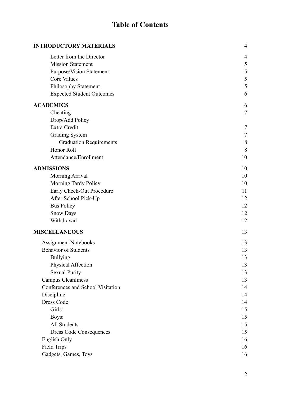## **Table of Contents**

| <b>INTRODUCTORY MATERIALS</b>     | $\overline{4}$ |
|-----------------------------------|----------------|
| Letter from the Director          | 4              |
| <b>Mission Statement</b>          | $\mathfrak{S}$ |
| Purpose/Vision Statement          | 5              |
| <b>Core Values</b>                | 5              |
| Philosophy Statement              | 5              |
| <b>Expected Student Outcomes</b>  | 6              |
| <b>ACADEMICS</b>                  | 6              |
| Cheating                          | $\overline{7}$ |
| Drop/Add Policy                   |                |
| Extra Credit                      | 7              |
| <b>Grading System</b>             | 7              |
| <b>Graduation Requirements</b>    | 8              |
| Honor Roll                        | 8              |
| Attendance/Enrollment             | 10             |
| <b>ADMISSIONS</b>                 | 10             |
| Morning Arrival                   | 10             |
| Morning Tardy Policy              | 10             |
| Early Check-Out Procedure         | 11             |
| After School Pick-Up              | 12             |
| <b>Bus Policy</b>                 | 12             |
| Snow Days                         | 12             |
| Withdrawal                        | 12             |
| <b>MISCELLANEOUS</b>              | 13             |
| <b>Assignment Notebooks</b>       | 13             |
| Behavior of Students              | 13             |
| <b>Bullying</b>                   | 13             |
| Physical Affection                | 13             |
| <b>Sexual Purity</b>              | 13             |
| <b>Campus Cleanliness</b>         | 13             |
| Conferences and School Visitation | 14             |
| Discipline                        | 14             |
| <b>Dress Code</b>                 | 14             |
| Girls:                            | 15             |
| Boys:                             | 15             |
| All Students                      | 15             |
| <b>Dress Code Consequences</b>    | 15             |
| English Only                      | 16             |
| <b>Field Trips</b>                | 16             |
| Gadgets, Games, Toys              | 16             |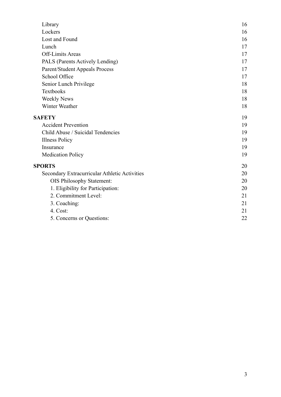| 16 |
|----|
| 16 |
| 16 |
| 17 |
| 17 |
| 17 |
| 17 |
| 17 |
| 18 |
| 18 |
| 18 |
| 18 |
| 19 |
| 19 |
| 19 |
| 19 |
| 19 |
| 19 |
| 20 |
| 20 |
| 20 |
| 20 |
| 21 |
| 21 |
| 21 |
| 22 |
|    |

<span id="page-2-0"></span> $\frac{1}{2} \sum_{i=1}^n \frac{1}{2} \sum_{j=1}^n \frac{1}{2} \sum_{j=1}^n \frac{1}{2} \sum_{j=1}^n \frac{1}{2} \sum_{j=1}^n \frac{1}{2} \sum_{j=1}^n \frac{1}{2} \sum_{j=1}^n \frac{1}{2} \sum_{j=1}^n \frac{1}{2} \sum_{j=1}^n \frac{1}{2} \sum_{j=1}^n \frac{1}{2} \sum_{j=1}^n \frac{1}{2} \sum_{j=1}^n \frac{1}{2} \sum_{j=1}^n \frac{1}{2} \sum_{j=$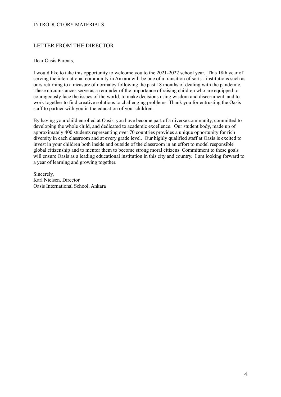## INTRODUCTORY MATERIALS

## <span id="page-3-0"></span>LETTER FROM THE DIRECTOR

#### Dear Oasis Parents,

I would like to take this opportunity to welcome you to the 2021-2022 school year. This 18th year of serving the international community in Ankara will be one of a transition of sorts - institutions such as ours returning to a measure of normalcy following the past 18 months of dealing with the pandemic. These circumstances serve as a reminder of the importance of raising children who are equipped to courageously face the issues of the world, to make decisions using wisdom and discernment, and to work together to find creative solutions to challenging problems. Thank you for entrusting the Oasis staff to partner with you in the education of your children.

By having your child enrolled at Oasis, you have become part of a diverse community, committed to developing the whole child, and dedicated to academic excellence. Our student body, made up of approximately 400 students representing over 70 countries provides a unique opportunity for rich diversity in each classroom and at every grade level. Our highly qualified staff at Oasis is excited to invest in your children both inside and outside of the classroom in an effort to model responsible global citizenship and to mentor them to become strong moral citizens. Commitment to these goals will ensure Oasis as a leading educational institution in this city and country. I am looking forward to a year of learning and growing together.

Sincerely, Karl Nielsen, Director Oasis International School, Ankara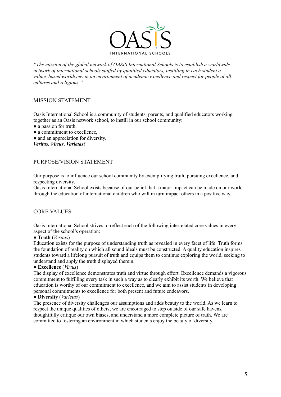

*"The mission of the global network of OASIS International Schools is to establish a worldwide network of international schools staf ed by qualified educators, instilling in each student a values-based worldview in an environment of academic excellence and respect for people of all cultures and religions."*

## <span id="page-4-0"></span>MISSION STATEMENT

.. Oasis International School is a community of students, parents, and qualified educators working together as an Oasis network school, to instill in our school community:

- a passion for truth,
- a commitment to excellence.
- and an appreciation for diversity.

*Veritas, Virtus, Varietas!*

## <span id="page-4-1"></span>PURPOSE/VISION STATEMENT

Our purpose is to influence our school community by exemplifying truth, pursuing excellence, and respecting diversity.

Oasis International School exists because of our belief that a major impact can be made on our world through the education of international children who will in turn impact others in a positive way.

## <span id="page-4-2"></span>CORE VALUES

..

.. Oasis International School strives to reflect each of the following interrelated core values in every aspect of the school's operation:

#### ● **Truth** (*Veritas*)

Education exists for the purpose of understanding truth as revealed in every facet of life. Truth forms the foundation of reality on which all sound ideals must be constructed. A quality education inspires students toward a lifelong pursuit of truth and equips them to continue exploring the world, seeking to understand and apply the truth displayed therein.

## ● **Excellence** (*Virtus*)

The display of excellence demonstrates truth and virtue through effort. Excellence demands a vigorous commitment to fulfilling every task in such a way as to clearly exhibit its worth. We believe that education is worthy of our commitment to excellence, and we aim to assist students in developing personal commitments to excellence for both present and future endeavors.

#### ● **Diversity** (*Varietas*)

<span id="page-4-3"></span>The presence of diversity challenges our assumptions and adds beauty to the world. As we learn to respect the unique qualities of others, we are encouraged to step outside of our safe havens, thoughtfully critique our own biases, and understand a more complete picture of truth. We are committed to fostering an environment in which students enjoy the beauty of diversity.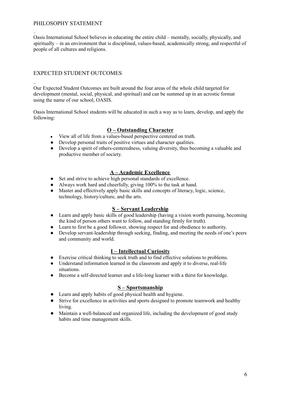## PHILOSOPHY STATEMENT

.. Oasis International School believes in educating the entire child – mentally, socially, physically, and spiritually – in an environment that is disciplined, values-based, academically strong, and respectful of people of all cultures and religions.

## <span id="page-5-0"></span>EXPECTED STUDENT OUTCOMES

.. Our Expected Student Outcomes are built around the four areas of the whole child targeted for development (mental, social, physical, and spiritual) and can be summed up in an acrostic format using the name of our school, OASIS.

Oasis International School students will be educated in such a way as to learn, develop, and apply the following:

## **O – Outstanding Character**

- View all of life from a values-based perspective centered on truth.
- Develop personal traits of positive virtues and character qualities.
- Develop a spirit of others-centeredness, valuing diversity, thus becoming a valuable and productive member of society.

## **A – Academic Excellence**

- Set and strive to achieve high personal standards of excellence
- Always work hard and cheerfully, giving 100% to the task at hand.
- Master and effectively apply basic skills and concepts of literacy, logic, science, technology, history/culture, and the arts.

## **S – Servant Leadership**

- Learn and apply basic skills of good leadership (having a vision worth pursuing, becoming the kind of person others want to follow, and standing firmly for truth).
- Learn to first be a good follower, showing respect for and obedience to authority.
- Develop servant-leadership through seeking, finding, and meeting the needs of one's peers and community and world.

## **I – Intellectual Curiosity**

- Exercise critical thinking to seek truth and to find effective solutions to problems.
- Understand information learned in the classroom and apply it to diverse, real-life situations.
- Become a self-directed learner and a life-long learner with a thirst for knowledge.

#### **S – Sportsmanship**

- Learn and apply habits of good physical health and hygiene.
- Strive for excellence in activities and sports designed to promote teamwork and healthy living.
- <span id="page-5-1"></span>● Maintain a well-balanced and organized life, including the development of good study habits and time management skills.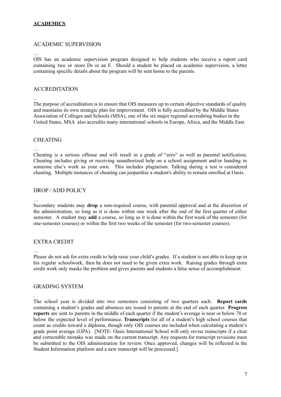## **ACADEMICS**

## ACADEMIC SUPERVISION

…

..

OIS has an academic supervision program designed to help students who receive a report card containing two or more Ds or an F. Should a student be placed on academic supervision, a letter containing specific details about the program will be sent home to the parents.

## ACCREDITATION

The purpose of accreditation is to ensure that OIS measures up to certain objective standards of quality and maintains its own strategic plan for improvement. OIS is fully accredited by the Middle States Association of Colleges and Schools (MSA), one of the six major regional accrediting bodies in the United States, MSA also accredits many international schools in Europe, Africa, and the Middle East.

## <span id="page-6-0"></span>CHEATING

… Cheating is a serious offense and will result in a grade of "zero" as well as parental notification. Cheating includes giving or receiving unauthorized help on a school assignment and/or handing in someone else's work as your own. This includes plagiarism. Talking during a test is considered cheating. Multiple instances of cheating can jeopardize a student's ability to remain enrolled at Oasis.

## <span id="page-6-1"></span>DROP / ADD POLICY

…

.

Secondary students may **drop** a non-required course, with parental approval and at the discretion of the administration, so long as it is done within one week after the end of the first quarter of either semester. A student may **add** a course, so long as it is done within the first week of the semester (for one-semester courses) or within the first two weeks of the semester (for two-semester courses).

## <span id="page-6-2"></span>EXTRA CREDIT

… Please do not ask for extra credit to help raise your child's grades. If a student is not able to keep up in his regular schoolwork, then he does not need to be given extra work. Raising grades through extra credit work only masks the problem and gives parents and students a false sense of accomplishment.

## <span id="page-6-3"></span>GRADING SYSTEM

The school year is divided into two semesters consisting of two quarters each. **Report cards** containing a student's grades and absences are issued to parents at the end of each quarter. **Progress reports** are sent to parents in the middle of each quarter if the student's average is near or below 70 or below the expected level of performance. **Transcripts** list all of a student's high school courses that count as credits toward a diploma, though only OIS courses are included when calculating a student's grade point average (GPA). [NOTE: Oasis International School will only revise transcripts if a clear and correctable mistake was made on the current transcript. Any requests for transcript revisions must be submitted to the OIS administration for review. Once approved, changes will be reflected in the Student Information platform and a new transcript will be processed.]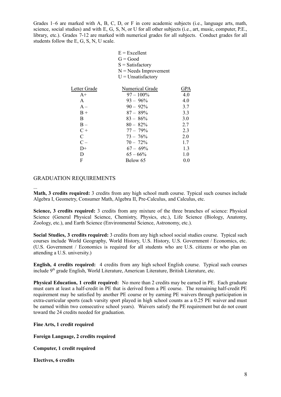Grades 1–6 are marked with A, B, C, D, or F in core academic subjects (i.e., language arts, math, science, social studies) and with E, G, S, N, or U for all other subjects (i.e., art, music, computer, P.E., library, etc.). Grades 7-12 are marked with numerical grades for all subjects. Conduct grades for all students follow the E, G, S, N, U scale.

> $E = Excellent$  $G = Good$

|              | $S = Satisfactory$       |            |
|--------------|--------------------------|------------|
|              | $N = N$ eeds Improvement |            |
|              | $U =$ Unsatisfactory     |            |
|              |                          |            |
| Letter Grade | Numerical Grade          | <b>GPA</b> |
| $A+$         | $97 - 100\%$             | 4.0        |
| $\mathsf{A}$ | $93 - 96\%$              | 4.0        |
| $A -$        | $90 - 92\%$              | 3.7        |
| $B +$        | $87 - 89\%$              | 3.3        |
| B            | $83 - 86\%$              | 3.0        |
| $B -$        | $80 - 82\%$              | 2.7        |
| $C +$        | $77 - 79\%$              | 2.3        |
| C            | $73 - 76\%$              | 2.0        |
| $C -$        | $70 - 72\%$              | 1.7        |
| D+           | $67 - 69\%$              | 1.3        |
| D            | $65 - 66\%$              | 1.0        |
| F            | Below 65                 | 0.0        |
|              |                          |            |

## <span id="page-7-0"></span>GRADUATION REQUIREMENTS

...

**Math, 3 credits required:** 3 credits from any high school math course. Typical such courses include Algebra I, Geometry, Consumer Math, Algebra II, Pre-Calculus, and Calculus, etc.

**Science, 3 credits required:** 3 credits from any mixture of the three branches of science: Physical Science (General Physical Science, Chemistry, Physics, etc.), Life Science (Biology, Anatomy, Zoology, etc.), and Earth Science (Environmental Science, Astronomy, etc.).

**Social Studies, 3 credits required:** 3 credits from any high school social studies course. Typical such courses include World Geography, World History, U.S. History, U.S. Government / Economics, etc. (U.S. Government / Economics is required for all students who are U.S. citizens or who plan on attending a U.S. university.)

**English, 4 credits required:** 4 credits from any high school English course. Typical such courses include 9<sup>th</sup> grade English, World Literature, American Literature, British Literature, etc.

**Physical Education, 1 credit required:** No more than 2 credits may be earned in PE. Each graduate must earn at least a half-credit in PE that is derived from a PE course. The remaining half-credit PE requirement may be satisfied by another PE course or by earning PE waivers through participation in extra-curricular sports (each varsity sport played in high school counts as a 0.25 PE waiver and must be earned within two consecutive school years). Waivers satisfy the PE requirement but do not count toward the 24 credits needed for graduation.

**Fine Arts, 1 credit required**

**Foreign Language, 2 credits required**

**Computer, 1 credit required**

**Electives, 6 credits**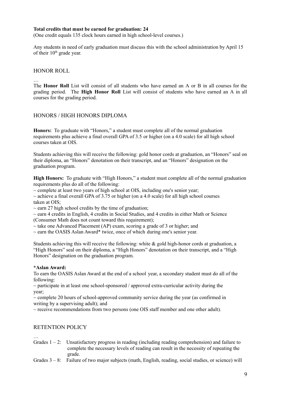#### **Total credits that must be earned for graduation: 24**

(One credit equals 135 clock hours earned in high school-level courses.)

Any students in need of early graduation must discuss this with the school administration by April 15 of their 10<sup>th</sup> grade year.

#### <span id="page-8-0"></span>HONOR ROLL

…

The **Honor Roll** List will consist of all students who have earned an A or B in all courses for the grading period. The **High Honor Roll** List will consist of students who have earned an A in all courses for the grading period.

## HONORS / HIGH HONORS DIPLOMA

**Honors:** To graduate with "Honors," a student must complete all of the normal graduation requirements plus achieve a final overall GPA of 3.5 or higher (on a 4.0 scale) for all high school courses taken at OIS.

Students achieving this will receive the following: gold honor cords at graduation, an "Honors" seal on their diploma, an "Honors" denotation on their transcript, and an "Honors" designation on the graduation program.

**High Honors:** To graduate with "High Honors," a student must complete all of the normal graduation requirements plus do all of the following:

 $\sim$  complete at least two years of high school at OIS, including one's senior year;

 $\sim$  achieve a final overall GPA of 3.75 or higher (on a 4.0 scale) for all high school courses taken at OIS;

 $\sim$  earn 27 high school credits by the time of graduation;

 $\sim$  earn 4 credits in English, 4 credits in Social Studies, and 4 credits in either Math or Science (Consumer Math does not count toward this requirement):

 $\sim$  take one Advanced Placement (AP) exam, scoring a grade of 3 or higher; and

 $\sim$  earn the OASIS Aslan Award\* twice, once of which during one's senior year.

Students achieving this will receive the following: white & gold high-honor cords at graduation, a "High Honors" seal on their diploma, a "High Honors" denotation on their transcript, and a "High Honors" designation on the graduation program.

#### **\*Aslan Award:**

To earn the OASIS Aslan Award at the end of a school year, a secondary student must do all of the following:

 $\sim$  participate in at least one school-sponsored / approved extra-curricular activity during the year;

 $\sim$  complete 20 hours of school-approved community service during the year (as confirmed in writing by a supervising adult); and

 $\sim$  receive recommendations from two persons (one OIS staff member and one other adult).

## RETENTION POLICY

… Grades  $1 - 2$ : Unsatisfactory progress in reading (including reading comprehension) and failure to complete the necessary levels of reading can result in the necessity of repeating the grade.

Grades  $3 - 8$ : Failure of two major subjects (math, English, reading, social studies, or science) will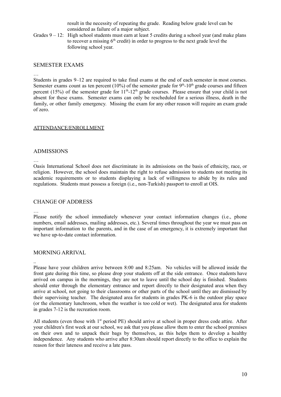result in the necessity of repeating the grade. Reading below grade level can be considered as failure of a major subject.

Grades  $9 - 12$ : High school students must earn at least 5 credits during a school year (and make plans to recover a missing  $6<sup>th</sup>$  credit) in order to progress to the next grade level the following school year.

#### SEMESTER EXAMS

…

Students in grades 9–12 are required to take final exams at the end of each semester in most courses. Semester exams count as ten percent (10%) of the semester grade for  $9<sup>th</sup>$ -10<sup>th</sup> grade courses and fifteen percent (15%) of the semester grade for  $11<sup>th</sup>$ -12<sup>th</sup> grade courses. Please ensure that your child is not absent for these exams. Semester exams can only be rescheduled for a serious illness, death in the family, or other family emergency. Missing the exam for any other reason will require an exam grade of zero.

#### <span id="page-9-0"></span>ATTENDANCE/ENROLLMENT

#### <span id="page-9-1"></span>ADMISSIONS

… Oasis International School does not discriminate in its admissions on the basis of ethnicity, race, or religion. However, the school does maintain the right to refuse admission to students not meeting its academic requirements or to students displaying a lack of willingness to abide by its rules and regulations. Students must possess a foreign (i.e., non-Turkish) passport to enroll at OIS.

#### CHANGE OF ADDRESS

…

..

Please notify the school immediately whenever your contact information changes (i.e., phone numbers, email addresses, mailing addresses, etc.). Several times throughout the year we must pass on important information to the parents, and in the case of an emergency, it is extremely important that we have up-to-date contact information.

## <span id="page-9-2"></span>MORNING ARRIVAL

Please have your children arrive between 8:00 and 8:25am. No vehicles will be allowed inside the front gate during this time, so please drop your students off at the side entrance. Once students have arrived on campus in the mornings, they are not to leave until the school day is finished. Students should enter through the elementary entrance and report directly to their designated area when they arrive at school, not going to their classrooms or other parts of the school until they are dismissed by their supervising teacher. The designated area for students in grades PK-6 is the outdoor play space (or the elementary lunchroom, when the weather is too cold or wet). The designated area for students in grades 7-12 is the recreation room.

All students (even those with 1<sup>st</sup> period PE) should arrive at school in proper dress code attire. After your children's first week at our school, we ask that you please allow them to enter the school premises on their own and to unpack their bags by themselves, as this helps them to develop a healthy independence. Any students who arrive after 8:30am should report directly to the office to explain the reason for their lateness and receive a late pass.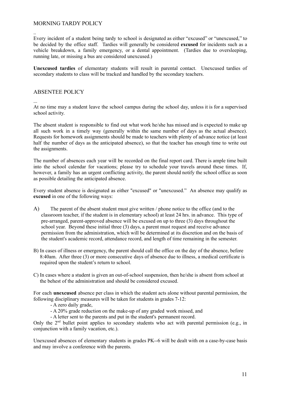## <span id="page-10-0"></span>MORNING TARDY POLICY

.. Every incident of a student being tardy to school is designated as either "excused" or "unexcused," to be decided by the office staff. Tardies will generally be considered **excused** for incidents such as a vehicle breakdown, a family emergency, or a dental appointment. (Tardies due to oversleeping, running late, or missing a bus are considered unexcused.)

**Unexcused tardies** of elementary students will result in parental contact. Unexcused tardies of secondary students to class will be tracked and handled by the secondary teachers.

#### ABSENTEE POLICY

...

At no time may a student leave the school campus during the school day, unless it is for a supervised school activity.

The absent student is responsible to find out what work he/she has missed and is expected to make up all such work in a timely way (generally within the same number of days as the actual absence). Requests for homework assignments should be made to teachers with plenty of advance notice (at least half the number of days as the anticipated absence), so that the teacher has enough time to write out the assignments.

The number of absences each year will be recorded on the final report card. There is ample time built into the school calendar for vacations; please try to schedule your travels around these times. If, however, a family has an urgent conflicting activity, the parent should notify the school office as soon as possible detailing the anticipated absence.

Every student absence is designated as either "excused" or "unexcused." An absence may qualify as **excused** in one of the following ways:

- A) The parent of the absent student must give written / phone notice to the office (and to the classroom teacher, if the student is in elementary school) at least 24 hrs. in advance. This type of pre-arranged, parent-approved absence will be excused on up to three (3) days throughout the school year. Beyond these initial three (3) days, a parent must request and receive advance permission from the administration, which will be determined at its discretion and on the basis of the student's academic record, attendance record, and length of time remaining in the semester.
- B) In cases of illness or emergency, the parent should call the office on the day of the absence, before 8:40am. After three (3) or more consecutive days of absence due to illness, a medical certificate is required upon the student's return to school.
- C) In cases where a student is given an out-of-school suspension, then he/she is absent from school at the behest of the administration and should be considered excused.

For each **unexcused** absence per class in which the student acts alone without parental permission, the following disciplinary measures will be taken for students in grades 7-12:

- A zero daily grade,

- A 20% grade reduction on the make-up of any graded work missed, and

- A letter sent to the parents and put in the student's permanent record.

Only the  $2<sup>nd</sup>$  bullet point applies to secondary students who act with parental permission (e.g., in conjunction with a family vacation, etc.).

Unexcused absences of elementary students in grades PK--6 will be dealt with on a case-by-case basis and may involve a conference with the parents.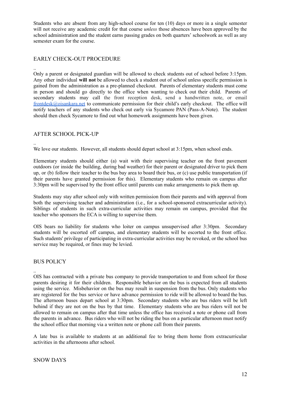Students who are absent from any high-school course for ten (10) days or more in a single semester will not receive any academic credit for that course *unless* those absences have been approved by the school administration and the student earns passing grades on both quarters' schoolwork as well as any semester exam for the course.

## <span id="page-11-0"></span>EARLY CHECK-OUT PROCEDURE

.. Only a parent or designated guardian will be allowed to check students out of school before 3:15pm. Any other individual **will not** be allowed to check a student out of school unless specific permission is gained from the administration as a pre-planned checkout. Parents of elementary students must come in person and should go directly to the office when wanting to check out their child. Parents of secondary students may call the front reception desk, send a handwritten note, or email [frontdesk@oisankara.net](mailto:frontdesk@oisankara.net) to communicate permission for their child's early checkout. The office will notify teachers of any students who check out early via Sycamore PAN (Pass-A-Note). The student should then check Sycamore to find out what homework assignments have been given.

## <span id="page-11-1"></span>AFTER SCHOOL PICK-UP

..

We love our students. However, all students should depart school at 3:15pm, when school ends.

Elementary students should either (a) wait with their supervising teacher on the front pavement outdoors (or inside the building, during bad weather) for their parent or designated driver to pick them up, or (b) follow their teacher to the bus bay area to board their bus, or (c) use public transportation (if their parents have granted permission for this). Elementary students who remain on campus after 3:30pm will be supervised by the front office until parents can make arrangements to pick them up.

Students may stay after school only with written permission from their parents and with approval from both the supervising teacher and administration (i.e., for a school-sponsored extracurricular activity). Siblings of students in such extra-curricular activities may remain on campus, provided that the teacher who sponsors the ECA is willing to supervise them.

OIS bears no liability for students who loiter on campus unsupervised after 3:30pm. Secondary students will be escorted off campus, and elementary students will be escorted to the front office. Such students' privilege of participating in extra-curricular activities may be revoked, or the school bus service may be required, or fines may be levied.

## <span id="page-11-2"></span>BUS POLICY

.. OIS has contracted with a private bus company to provide transportation to and from school for those parents desiring it for their children. Responsible behavior on the bus is expected from all students using the service. Misbehavior on the bus may result in suspension from the bus. Only students who are registered for the bus service or have advance permission to ride will be allowed to board the bus. The afternoon buses depart school at 3:30pm. Secondary students who are bus riders will be left behind if they are not on the bus by that time. Elementary students who are bus riders will not be allowed to remain on campus after that time unless the office has received a note or phone call from the parents in advance. Bus riders who will not be riding the bus on a particular afternoon must notify the school office that morning via a written note or phone call from their parents.

A late bus is available to students at an additional fee to bring them home from extracurricular activities in the afternoons after school.

#### <span id="page-11-3"></span>SNOW DAYS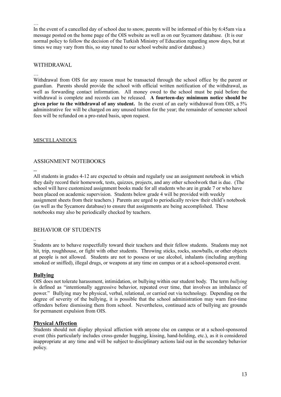In the event of a cancelled day of school due to snow, parents will be informed of this by 6:45am via a message posted on the home page of the OIS website as well as on our Sycamore database. (It is our normal policy to follow the decision of the Turkish Ministry of Education regarding snow days, but at times we may vary from this, so stay tuned to our school website and/or database.)

#### <span id="page-12-0"></span>WITHDRAWAL

#### …

…

Withdrawal from OIS for any reason must be transacted through the school office by the parent or guardian. Parents should provide the school with official written notification of the withdrawal, as well as forwarding contact information. All money owed to the school must be paid before the withdrawal is complete and records can be released. **A fourteen-day minimum notice should be given prior to the withdrawal of any student.** In the event of an early withdrawal from OIS, a 5% administrative fee will be charged on any unused tuition for the year; the remainder of semester school fees will be refunded on a pro-rated basis, upon request.

#### <span id="page-12-1"></span>MISCELLANEOUS

## <span id="page-12-2"></span>ASSIGNMENT NOTEBOOKS

--

..

All students in grades 4-12 are expected to obtain and regularly use an assignment notebook in which they daily record their homework, tests, quizzes, projects, and any other schoolwork that is due. (The school will have customized assignment books made for all students who are in grade 7 or who have been placed on academic supervision. Students below grade 4 will be provided with weekly assignment sheets from their teachers.) Parents are urged to periodically review their child's notebook (as well as the Sycamore database) to ensure that assignments are being accomplished. These notebooks may also be periodically checked by teachers.

## <span id="page-12-3"></span>BEHAVIOR OF STUDENTS

Students are to behave respectfully toward their teachers and their fellow students. Students may not hit, trip, roughhouse, or fight with other students. Throwing sticks, rocks, snowballs, or other objects at people is not allowed. Students are not to possess or use alcohol, inhalants (including anything smoked or sniffed), illegal drugs, or weapons at any time on campus or at a school-sponsored event.

#### <span id="page-12-4"></span>**Bullying**

OIS does not tolerate harassment, intimidation, or bullying within our student body. The term *bullying* is defined as "intentionally aggressive behavior, repeated over time, that involves an imbalance of power." Bullying may be physical, verbal, relational, or carried out via technology. Depending on the degree of severity of the bullying, it is possible that the school administration may warn first-time offenders before dismissing them from school. Nevertheless, continued acts of bullying are grounds for permanent expulsion from OIS.

## <span id="page-12-5"></span>**Physical Affection**

Students should not display physical affection with anyone else on campus or at a school-sponsored event (this particularly includes cross-gender hugging, kissing, hand-holding, etc.), as it is considered inappropriate at any time and will be subject to disciplinary actions laid out in the secondary behavior policy.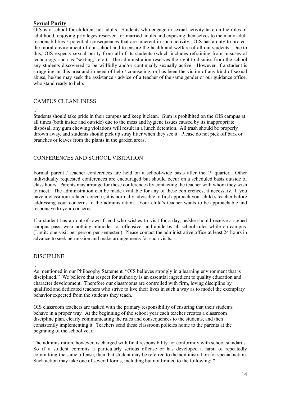## <span id="page-13-0"></span>**Sexual Purity**

OIS is a school for children, not adults. Students who engage in sexual activity take on the roles of adulthood, enjoying privileges reserved for married adults and exposing themselves to the many adult responsibilities / potential consequences that are inherent in such activity. OIS has a duty to protect the moral environment of our school and to ensure the health and welfare of all our students. Due to this, OIS expects sexual purity from all of its students (which includes refraining from misuses of technology such as "sexting," etc.). The administration reserves the right to dismiss from the school any students discovered to be willfully and/or continually sexually active. However, if a student is struggling in this area and in need of help / counseling, or has been the victim of any kind of sexual abuse, he/she may seek the assistance / advice of a teacher of the same gender or our guidance office, who stand ready to help.

## <span id="page-13-1"></span>CAMPUS CLEANLINESS

Students should take pride in their campus and keep it clean. Gum is prohibited on the OIS campus at all times (both inside and outside) due to the mess and hygiene issues caused by its inappropriate disposal; any gum chewing violations will result in a lunch detention. All trash should be properly thrown away, and students should pick up stray litter when they see it. Please do not pick off bark or branches or leaves from the plants in the garden areas.

## <span id="page-13-2"></span>CONFERENCES AND SCHOOL VISITATION

#### …

..

Formal parent / teacher conferences are held on a school-wide basis after the  $1<sup>st</sup>$  quarter. Other individually requested conferences are encouraged but should occur on a scheduled basis outside of class hours. Parents may arrange for these conferences by contacting the teacher with whom they wish to meet. The administration can be made available for any of these conferences, if necessary. If you have a classroom-related concern, it is normally advisable to first approach your child's teacher before addressing your concerns to the administration. Your child's teacher wants to be approachable and responsive to your concerns.

If a student has an out-of-town friend who wishes to visit for a day, he/she should receive a signed campus pass, wear nothing immodest or offensive, and abide by all school rules while on campus. (Limit: one visit per person per semester.) Please contact the administrative office at least 24 hours in advance to seek permission and make arrangements for such visits.

## <span id="page-13-3"></span>DISCIPLINE

.. As mentioned in our Philosophy Statement, "OIS believes strongly in a learning environment that is disciplined." We believe that respect for authority is an essential ingredient to quality education and character development. Therefore our classrooms are controlled with firm, loving discipline by qualified and dedicated teachers who strive to live their lives in such a way as to model the exemplary behavior expected from the students they teach.

OIS classroom teachers are tasked with the primary responsibility of ensuring that their students behave in a proper way. At the beginning of the school year each teacher creates a classroom discipline plan, clearly communicating the rules and consequences to the students, and then consistently implementing it. Teachers send these classroom policies home to the parents at the beginning of the school year.

The administration, however, is charged with final responsibility for conformity with school standards. So if a student commits a particularly serious offense or has developed a habit of repeatedly committing the same offense, then that student may be referred to the administration for special action. Such action may take one of several forms, including but not limited to the following: \*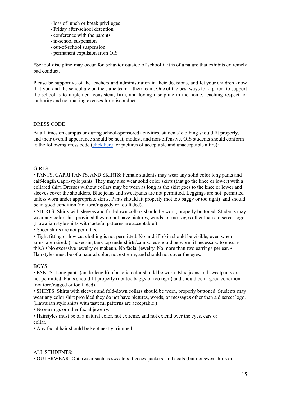- loss of lunch or break privileges
- Friday after-school detention
- conference with the parents
- in-school suspension
- out-of-school suspension
- permanent expulsion from OIS

\*School discipline may occur for behavior outside of school if it is of a nature that exhibits extremely bad conduct.

Please be supportive of the teachers and administration in their decisions, and let your children know that you and the school are on the same team – their team. One of the best ways for a parent to support the school is to implement consistent, firm, and loving discipline in the home, teaching respect for authority and not making excuses for misconduct.

#### DRESS CODE

At all times on campus or during school-sponsored activities, students' clothing should fit properly, and their overall appearance should be neat, modest, and non-offensive. OIS students should conform to the following dress code [\(click](https://app.sycamoreschool.com/public_documents.php?id=1629&docid=1889866) here for pictures of acceptable and unacceptable attire):

#### GIRLS:

• PANTS, CAPRI PANTS, AND SKIRTS: Female students may wear any solid color long pants and calf-length Capri-style pants. They may also wear solid color skirts (that go the knee or lower) with a collared shirt. Dresses without collars may be worn as long as the skirt goes to the knee or lower and sleeves cover the shoulders. Blue jeans and sweatpants are not permitted. Leggings are not permitted unless worn under appropriate skirts. Pants should fit properly (not too baggy or too tight) and should be in good condition (not torn/raggedy or too faded).

• SHIRTS: Shirts with sleeves and fold-down collars should be worn, properly buttoned. Students may wear any color shirt provided they do not have pictures, words, or messages other than a discreet logo. (Hawaiian style shirts with tasteful patterns are acceptable.)

• Sheer shirts are not permitted.

• Tight fitting or low cut clothing is not permitted. No midriff skin should be visible, even when arms are raised. (Tucked-in, tank top undershirts/camisoles should be worn, if necessary, to ensure this.) • No excessive jewelry or makeup. No facial jewelry. No more than two earrings per ear. • Hairstyles must be of a natural color, not extreme, and should not cover the eyes.

#### BOYS:

• PANTS: Long pants (ankle-length) of a solid color should be worn. Blue jeans and sweatpants are not permitted. Pants should fit properly (not too baggy or too tight) and should be in good condition (not torn/ragged or too faded).

• SHIRTS: Shirts with sleeves and fold-down collars should be worn, properly buttoned. Students may wear any color shirt provided they do not have pictures, words, or messages other than a discreet logo. (Hawaiian style shirts with tasteful patterns are acceptable.)

• No earrings or other facial jewelry.

• Hairstyles must be of a natural color, not extreme, and not extend over the eyes, ears or collar.

• Any facial hair should be kept neatly trimmed.

## ALL STUDENTS:

• OUTERWEAR: Outerwear such as sweaters, fleeces, jackets, and coats (but not sweatshirts or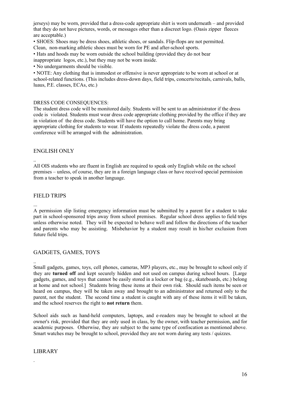jerseys) may be worn, provided that a dress-code appropriate shirt is worn underneath – and provided that they do not have pictures, words, or messages other than a discreet logo. (Oasis zipper fleeces are acceptable.)

• SHOES: Shoes may be dress shoes, athletic shoes, or sandals. Flip-flops are not permitted. Clean, non-marking athletic shoes must be worn for PE and after-school sports.

• Hats and hoods may be worn outside the school building (provided they do not bear inappropriate logos, etc.), but they may not be worn inside.

• No undergarments should be visible.

• NOTE: Any clothing that is immodest or offensive is never appropriate to be worn at school or at school-related functions. (This includes dress-down days, field trips, concerts/recitals, carnivals, balls, luaus, P.E. classes, ECAs, etc.)

#### DRESS CODE CONSEQUENCES:

The student dress code will be monitored daily. Students will be sent to an administrator if the dress code is violated. Students must wear dress code appropriate clothing provided by the office if they are in violation of the dress code. Students will have the option to call home. Parents may bring appropriate clothing for students to wear. If students repeatedly violate the dress code, a parent conference will be arranged with the administration.

#### <span id="page-15-0"></span>ENGLISH ONLY

.. All OIS students who are fluent in English are required to speak only English while on the school premises – unless, of course, they are in a foreign language class or have received special permission from a teacher to speak in another language.

#### <span id="page-15-1"></span>FIELD TRIPS

... A permission slip listing emergency information must be submitted by a parent for a student to take part in school-sponsored trips away from school premises. Regular school dress applies to field trips unless otherwise noted. They will be expected to behave well and follow the directions of the teacher and parents who may be assisting. Misbehavior by a student may result in his/her exclusion from future field trips.

## <span id="page-15-2"></span>GADGETS, GAMES, TOYS

.. Small gadgets, games, toys, cell phones, cameras, MP3 players, etc., may be brought to school only if they are **turned off** and kept securely hidden and not used on campus during school hours. [Large gadgets, games, and toys that cannot be easily stored in a locker or bag (e.g., skateboards, etc.) belong at home and not school.] Students bring these items at their own risk. Should such items be seen or heard on campus, they will be taken away and brought to an administrator and returned only to the parent, not the student. The second time a student is caught with any of these items it will be taken, and the school reserves the right to **not return** them.

School aids such as hand-held computers, laptops, and e-readers may be brought to school at the owner's risk, provided that they are only used in class, by the owner, with teacher permission, and for academic purposes. Otherwise, they are subject to the same type of confiscation as mentioned above. Smart watches may be brought to school, provided they are not worn during any tests / quizzes.

## <span id="page-15-3"></span>LIBRARY

.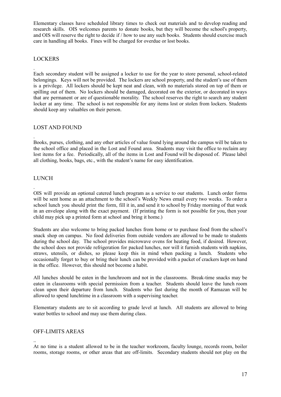Elementary classes have scheduled library times to check out materials and to develop reading and research skills. OIS welcomes parents to donate books, but they will become the school's property, and OIS will reserve the right to decide if / how to use any such books. Students should exercise much care in handling all books. Fines will be charged for overdue or lost books.

## <span id="page-16-0"></span>LOCKERS

.

.

Each secondary student will be assigned a locker to use for the year to store personal, school-related belongings. Keys will not be provided. The lockers are school property, and the student's use of them is a privilege. All lockers should be kept neat and clean, with no materials stored on top of them or spilling out of them. No lockers should be damaged, decorated on the exterior, or decorated in ways that are permanent or are of questionable morality. The school reserves the right to search any student locker at any time. The school is not responsible for any items lost or stolen from lockers. Students should keep any valuables on their person.

## <span id="page-16-1"></span>LOST AND FOUND

Books, purses, clothing, and any other articles of value found lying around the campus will be taken to the school office and placed in the Lost and Found area. Students may visit the office to reclaim any lost items for a fee. Periodically, all of the items in Lost and Found will be disposed of. Please label all clothing, books, bags, etc., with the student's name for easy identification.

## <span id="page-16-2"></span>LUNCH

. OIS will provide an optional catered lunch program as a service to our students. Lunch order forms will be sent home as an attachment to the school's Weekly News email every two weeks. To order a school lunch you should print the form, fill it in, and send it to school by Friday morning of that week in an envelope along with the exact payment. (If printing the form is not possible for you, then your child may pick up a printed form at school and bring it home.)

Students are also welcome to bring packed lunches from home or to purchase food from the school's snack shop on campus. No food deliveries from outside vendors are allowed to be made to students during the school day. The school provides microwave ovens for heating food, if desired. However, the school does not provide refrigeration for packed lunches, nor will it furnish students with napkins, straws, utensils, or dishes, so please keep this in mind when packing a lunch. Students who occasionally forget to buy or bring their lunch can be provided with a packet of crackers kept on hand in the office. However, this should not become a habit.

All lunches should be eaten in the lunchroom and not in the classrooms. Break-time snacks may be eaten in classrooms with special permission from a teacher. Students should leave the lunch room clean upon their departure from lunch. Students who fast during the month of Ramazan will be allowed to spend lunchtime in a classroom with a supervising teacher.

Elementary students are to sit according to grade level at lunch. All students are allowed to bring water bottles to school and may use them during class.

## <span id="page-16-3"></span>OFF-LIMITS AREAS

.. At no time is a student allowed to be in the teacher workroom, faculty lounge, records room, boiler rooms, storage rooms, or other areas that are off-limits. Secondary students should not play on the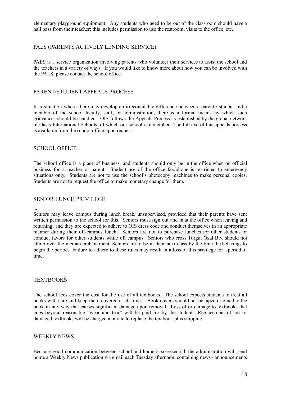elementary playground equipment. Any students who need to be out of the classroom should have a hall pass from their teacher; this includes permission to use the restroom, visits to the office, etc.

## <span id="page-17-0"></span>PALS (PARENTS ACTIVELY LENDING SERVICE)

PALS is a service organization involving parents who volunteer their services to assist the school and the teachers in a variety of ways. If you would like to know more about how you can be involved with the PALS, please contact the school office.

#### <span id="page-17-1"></span>PARENT/STUDENT APPEALS PROCESS

In a situation where there may develop an irreconcilable difference between a parent / student and a member of the school faculty, staff, or administration, there is a formal means by which such grievances should be handled. OIS follows the Appeals Process as established by the global network of Oasis International Schools, of which our school is a member. The full text of this appeals process is available from the school office upon request.

#### <span id="page-17-2"></span>SCHOOL OFFICE

.

.

.

...

..

.

The school office is a place of business, and students should only be in the office when on official business for a teacher or parent. Student use of the office fax/phone is restricted to emergency situations only. Students are not to use the school's photocopy machines to make personal copies. Students are not to request the office to make monetary change for them.

#### <span id="page-17-3"></span>SENIOR LUNCH PRIVILEGE

Seniors may leave campus during lunch break, unsupervised, provided that their parents have sent written permission to the school for this. Seniors must sign out and in at the office when leaving and returning, and they are expected to adhere to OIS dress code and conduct themselves in an appropriate manner during their off-campus lunch. Seniors are not to purchase lunches for other students or conduct favors for other students while off campus. Seniors who cross Turgut Özal Blv. should not climb over the median embankment. Seniors are to be in their next class by the time the bell rings to begin the period. Failure to adhere to these rules may result in a loss of this privilege for a period of time.

#### <span id="page-17-4"></span>**TEXTBOOKS**

The school fees cover the cost for the use of all textbooks. The school expects students to treat all books with care and keep them covered at all times. Book covers should not be taped or glued to the book in any way that causes significant damage upon removal. Loss of or damage to textbooks that goes beyond reasonable "wear and tear" will be paid for by the student. Replacement of lost or damaged textbooks will be charged at a rate to replace the textbook plus shipping.

#### <span id="page-17-5"></span>WEEKLY NEWS

Because good communication between school and home is so essential, the administration will send home a Weekly News publication via email each Tuesday afternoon, containing news / announcements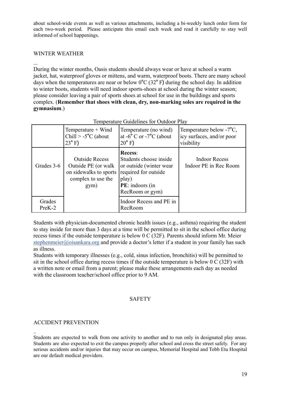about school-wide events as well as various attachments, including a bi-weekly lunch order form for each two-week period. Please anticipate this email each week and read it carefully to stay well informed of school happenings.

## <span id="page-18-0"></span>WINTER WEATHER

...

During the winter months, Oasis students should always wear or have at school a warm jacket, hat, waterproof gloves or mittens, and warm, waterproof boots. There are many school days when the temperatures are near or below 0°C (32° F) during the school day. In addition to winter boots, students will need indoor sports-shoes at school during the winter season; please consider leaving a pair of sports shoes at school for use in the buildings and sports complex. (**Remember that shoes with clean, dry, non-marking soles are required in the gymnasium**.)

|                    | Temperature + Wind<br>Chill $> -5$ °C (about<br>$23^{\circ}$ F)                                       | Temperature Guidennes for Outdoor Flav<br>Temperature (no wind)<br>at $-6^{\circ}$ C or $-7^{\circ}$ C (about<br>$20^{\circ}$ F)           | Temperature below $-7^{\circ}C$ ,<br>icy surfaces, and/or poor<br>visibility |
|--------------------|-------------------------------------------------------------------------------------------------------|--------------------------------------------------------------------------------------------------------------------------------------------|------------------------------------------------------------------------------|
| Grades 3-6         | <b>Outside Recess</b><br>Outside PE (or walk)<br>on sidewalks to sports<br>complex to use the<br>gym) | <b>Recess:</b><br>Students choose inside<br>or outside (winter wear<br>required for outside<br>play)<br>PE: indoors (in<br>RecRoom or gym) | <b>Indoor Recess</b><br>Indoor PE in Rec Room                                |
| Grades<br>$PreK-2$ |                                                                                                       | Indoor Recess and PE in<br>RecRoom                                                                                                         |                                                                              |

Temperature Guidelines for Outdoor Play

Students with physician-documented chronic health issues (e.g., asthma) requiring the student to stay inside for more than 3 days at a time will be permitted to sit in the school office during recess times if the outside temperature is below 0 C (32F). Parents should inform Mr. Meier [stephenmeier@oisankara.org](mailto:stephenmeier@oisankara.org) and provide a doctor's letter if a student in your family has such as illness.

Students with temporary illnesses (e.g., cold, sinus infection, bronchitis) will be permitted to sit in the school office during recess times if the outside temperature is below 0 C (32F) with a written note or email from a parent; please make these arrangements each day as needed with the classroom teacher/school office prior to 9 AM.

## SAFETY

## <span id="page-18-2"></span><span id="page-18-1"></span>ACCIDENT PREVENTION

<sup>..</sup> Students are expected to walk from one activity to another and to run only in designated play areas. Students are also expected to exit the campus properly after school and cross the street safely. For any serious accidents and/or injuries that may occur on campus, Memorial Hospital and Tobb Etu Hospital are our default medical providers.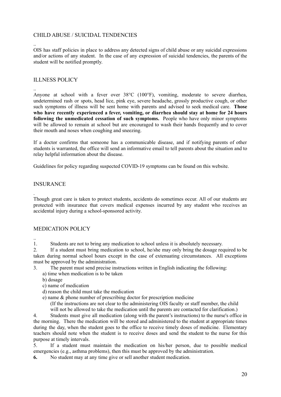## <span id="page-19-0"></span>CHILD ABUSE / SUICIDAL TENDENCIES

.. OIS has staff policies in place to address any detected signs of child abuse or any suicidal expressions and/or actions of any student. In the case of any expression of suicidal tendencies, the parents of the student will be notified promptly.

## <span id="page-19-1"></span>ILLNESS POLICY

.. Anyone at school with a fever over 38°C (100°F), vomiting, moderate to severe diarrhea, undetermined rash or spots, head lice, pink eye, severe headache, grossly productive cough, or other such symptoms of illness will be sent home with parents and advised to seek medical care. **Those who have recently experienced a fever, vomiting, or diarrhea should stay at home for 24 hours following the unmedicated cessation of such symptoms.** People who have only minor symptoms will be allowed to remain at school but are encouraged to wash their hands frequently and to cover their mouth and noses when coughing and sneezing.

If a doctor confirms that someone has a communicable disease, and if notifying parents of other students is warranted, the office will send an informative email to tell parents about the situation and to relay helpful information about the disease.

Guidelines for policy regarding suspected COVID-19 symptoms can be found on this website.

## <span id="page-19-2"></span>INSURANCE

. Though great care is taken to protect students, accidents do sometimes occur. All of our students are protected with insurance that covers medical expenses incurred by any student who receives an accidental injury during a school-sponsored activity.

## <span id="page-19-3"></span>MEDICATION POLICY

1. Students are not to bring any medication to school unless it is absolutely necessary.

2. If a student must bring medication to school, he/she may only bring the dosage required to be taken during normal school hours except in the case of extenuating circumstances. All exceptions must be approved by the administration.

- 3. The parent must send precise instructions written in English indicating the following:
	- a) time when medication is to be taken
	- b) dosage

..

- c) name of medication
- d) reason the child must take the medication
- e) name & phone number of prescribing doctor for prescription medicine

(If the instructions are not clear to the administering OIS faculty or staff member, the child will not be allowed to take the medication until the parents are contacted for clarification.)

4. Students must give all medication (along with the parent's instructions) to the nurse's office in the morning. There the medication will be stored and administered to the student at appropriate times during the day, when the student goes to the office to receive timely doses of medicine. Elementary teachers should note when the student is to receive doses and send the student to the nurse for this purpose at timely intervals.

5. If a student must maintain the medication on his/her person, due to possible medical emergencies (e.g., asthma problems), then this must be approved by the administration.

**6.** No student may at any time give or sell another student medication.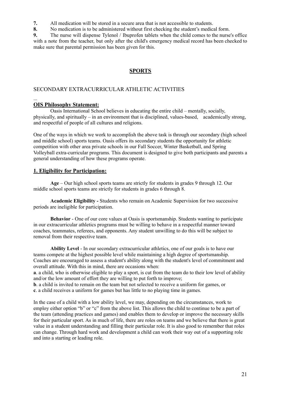**7.** All medication will be stored in a secure area that is not accessible to students.

**8.** No medication is to be administered without first checking the student's medical form.

**9.** The nurse will dispense Tylenol / Ibuprofen tablets when the child comes to the nurse's office with a note from the teacher, but only after the child's emergency medical record has been checked to make sure that parental permission has been given for this.

## **SPORTS**

## <span id="page-20-1"></span><span id="page-20-0"></span>SECONDARY EXTRACURRICULAR ATHLETIC ACTIVITIES

## <span id="page-20-2"></span>**OIS Philosophy Statement:**

...

Oasis International School believes in educating the entire child – mentally, socially, physically, and spiritually – in an environment that is disciplined, values-based, academically strong, and respectful of people of all cultures and religions.

One of the ways in which we work to accomplish the above task is through our secondary (high school and middle school) sports teams. Oasis offers its secondary students the opportunity for athletic competition with other area private schools in our Fall Soccer, Winter Basketball, and Spring Volleyball extra-curricular programs. This document is designed to give both participants and parents a general understanding of how these programs operate.

## <span id="page-20-3"></span>**1. Eligibility for Participation:**

**Age** – Our high school sports teams are strictly for students in grades 9 through 12. Our middle school sports teams are strictly for students in grades 6 through 8.

**Academic Eligibility -** Students who remain on Academic Supervision for two successive periods are ineligible for participation.

**Behavior** - One of our core values at Oasis is sportsmanship. Students wanting to participate in our extracurricular athletics programs must be willing to behave in a respectful manner toward coaches, teammates, referees, and opponents. Any student unwilling to do this will be subject to removal from their respective team.

**Ability Level** - In our secondary extracurricular athletics, one of our goals is to have our teams compete at the highest possible level while maintaining a high degree of sportsmanship. Coaches are encouraged to assess a student's ability along with the student's level of commitment and overall attitude. With this in mind, there are occasions when:

**a**. a child, who is otherwise eligible to play a sport, is cut from the team do to their low level of ability and/or the low amount of effort they are willing to put forth to improve;

**b**. a child is invited to remain on the team but not selected to receive a uniform for games, or **c**. a child receives a uniform for games but has little to no playing time in games.

In the case of a child with a low ability level, we may, depending on the circumstances, work to employ either option "b" or "c" from the above list. This allows the child to continue to be a part of the team (attending practices and games) and enables them to develop or improve the necessary skills for their particular sport. As in much of life, there are roles on teams and we believe that there is great value in a student understanding and filling their particular role. It is also good to remember that roles can change. Through hard work and development a child can work their way out of a supporting role and into a starting or leading role.